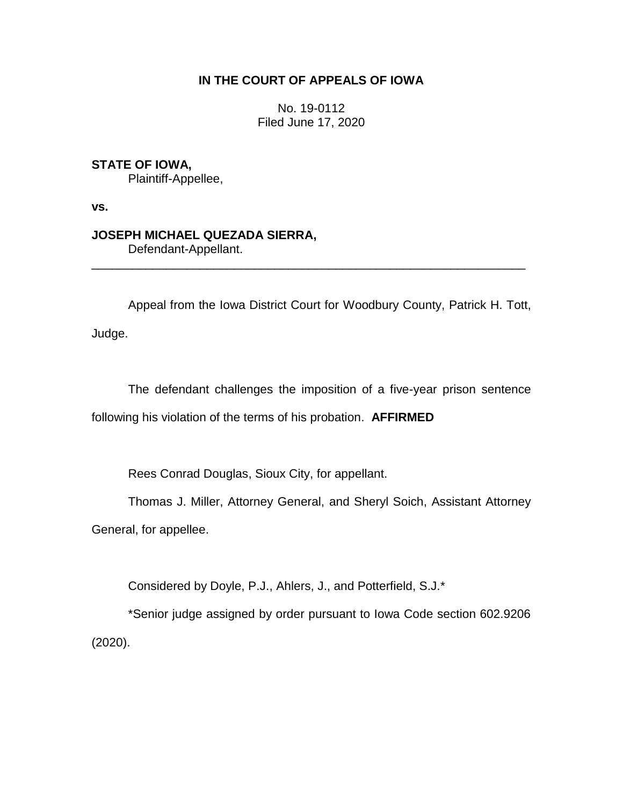## **IN THE COURT OF APPEALS OF IOWA**

No. 19-0112 Filed June 17, 2020

**STATE OF IOWA,**

Plaintiff-Appellee,

**vs.**

## **JOSEPH MICHAEL QUEZADA SIERRA,**

Defendant-Appellant.

Appeal from the Iowa District Court for Woodbury County, Patrick H. Tott, Judge.

\_\_\_\_\_\_\_\_\_\_\_\_\_\_\_\_\_\_\_\_\_\_\_\_\_\_\_\_\_\_\_\_\_\_\_\_\_\_\_\_\_\_\_\_\_\_\_\_\_\_\_\_\_\_\_\_\_\_\_\_\_\_\_\_

The defendant challenges the imposition of a five-year prison sentence following his violation of the terms of his probation. **AFFIRMED**

Rees Conrad Douglas, Sioux City, for appellant.

Thomas J. Miller, Attorney General, and Sheryl Soich, Assistant Attorney

General, for appellee.

Considered by Doyle, P.J., Ahlers, J., and Potterfield, S.J.\*

\*Senior judge assigned by order pursuant to Iowa Code section 602.9206 (2020).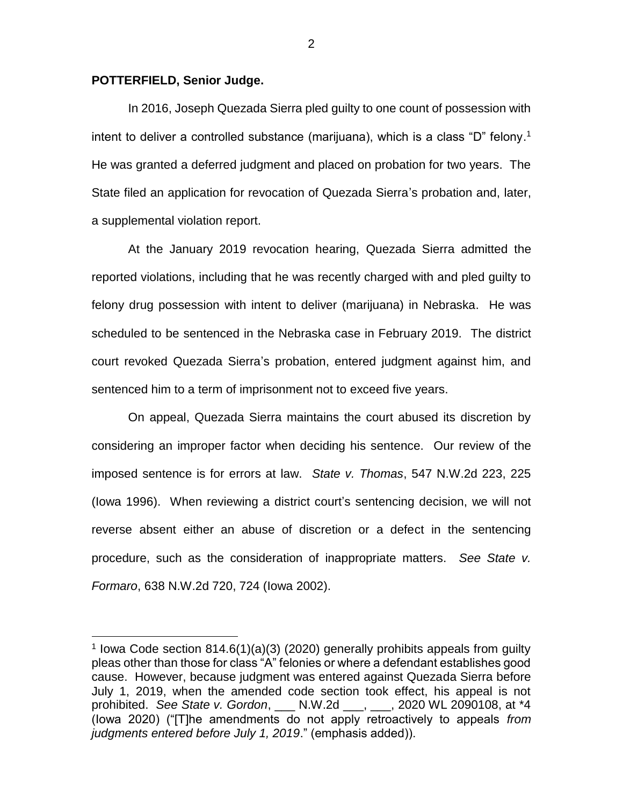## **POTTERFIELD, Senior Judge.**

 $\overline{a}$ 

In 2016, Joseph Quezada Sierra pled guilty to one count of possession with intent to deliver a controlled substance (marijuana), which is a class "D" felony. 1 He was granted a deferred judgment and placed on probation for two years. The State filed an application for revocation of Quezada Sierra's probation and, later, a supplemental violation report.

At the January 2019 revocation hearing, Quezada Sierra admitted the reported violations, including that he was recently charged with and pled guilty to felony drug possession with intent to deliver (marijuana) in Nebraska. He was scheduled to be sentenced in the Nebraska case in February 2019. The district court revoked Quezada Sierra's probation, entered judgment against him, and sentenced him to a term of imprisonment not to exceed five years.

On appeal, Quezada Sierra maintains the court abused its discretion by considering an improper factor when deciding his sentence. Our review of the imposed sentence is for errors at law. *State v. Thomas*, 547 N.W.2d 223, 225 (Iowa 1996). When reviewing a district court's sentencing decision, we will not reverse absent either an abuse of discretion or a defect in the sentencing procedure, such as the consideration of inappropriate matters. *See State v. Formaro*, 638 N.W.2d 720, 724 (Iowa 2002).

2

<sup>&</sup>lt;sup>1</sup> lowa Code section 814.6(1)(a)(3) (2020) generally prohibits appeals from guilty pleas other than those for class "A" felonies or where a defendant establishes good cause. However, because judgment was entered against Quezada Sierra before July 1, 2019, when the amended code section took effect, his appeal is not prohibited. *See State v. Gordon*, \_\_\_ N.W.2d \_\_\_, \_\_\_, 2020 WL 2090108, at \*4 (Iowa 2020) ("[T]he amendments do not apply retroactively to appeals *from judgments entered before July 1, 2019*." (emphasis added)).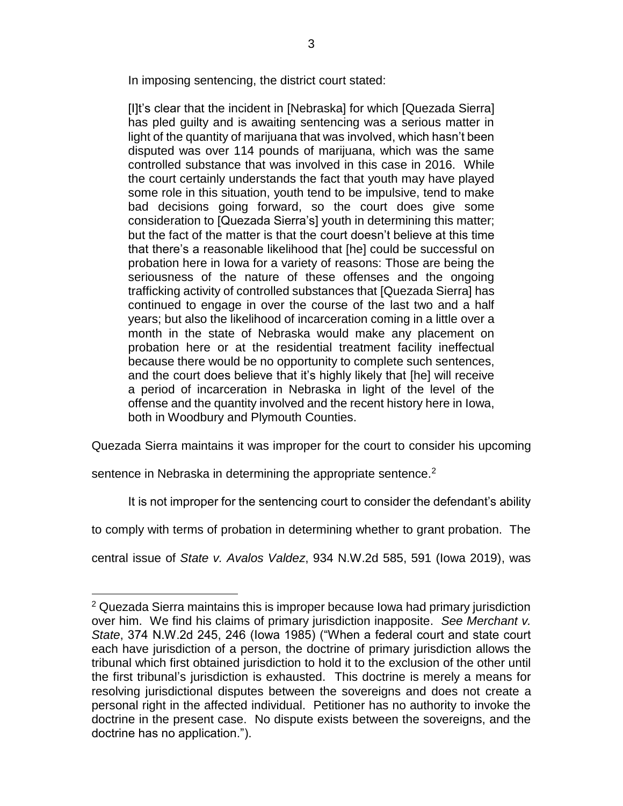In imposing sentencing, the district court stated:

[I]t's clear that the incident in [Nebraska] for which [Quezada Sierra] has pled guilty and is awaiting sentencing was a serious matter in light of the quantity of marijuana that was involved, which hasn't been disputed was over 114 pounds of marijuana, which was the same controlled substance that was involved in this case in 2016. While the court certainly understands the fact that youth may have played some role in this situation, youth tend to be impulsive, tend to make bad decisions going forward, so the court does give some consideration to [Quezada Sierra's] youth in determining this matter; but the fact of the matter is that the court doesn't believe at this time that there's a reasonable likelihood that [he] could be successful on probation here in Iowa for a variety of reasons: Those are being the seriousness of the nature of these offenses and the ongoing trafficking activity of controlled substances that [Quezada Sierra] has continued to engage in over the course of the last two and a half years; but also the likelihood of incarceration coming in a little over a month in the state of Nebraska would make any placement on probation here or at the residential treatment facility ineffectual because there would be no opportunity to complete such sentences, and the court does believe that it's highly likely that [he] will receive a period of incarceration in Nebraska in light of the level of the offense and the quantity involved and the recent history here in Iowa, both in Woodbury and Plymouth Counties.

Quezada Sierra maintains it was improper for the court to consider his upcoming

sentence in Nebraska in determining the appropriate sentence.<sup>2</sup>

 $\overline{a}$ 

It is not improper for the sentencing court to consider the defendant's ability

to comply with terms of probation in determining whether to grant probation. The

central issue of *State v. Avalos Valdez*, 934 N.W.2d 585, 591 (Iowa 2019), was

<sup>&</sup>lt;sup>2</sup> Quezada Sierra maintains this is improper because Iowa had primary jurisdiction over him. We find his claims of primary jurisdiction inapposite. *See Merchant v. State*, 374 N.W.2d 245, 246 (Iowa 1985) ("When a federal court and state court each have jurisdiction of a person, the doctrine of primary jurisdiction allows the tribunal which first obtained jurisdiction to hold it to the exclusion of the other until the first tribunal's jurisdiction is exhausted. This doctrine is merely a means for resolving jurisdictional disputes between the sovereigns and does not create a personal right in the affected individual. Petitioner has no authority to invoke the doctrine in the present case. No dispute exists between the sovereigns, and the doctrine has no application.").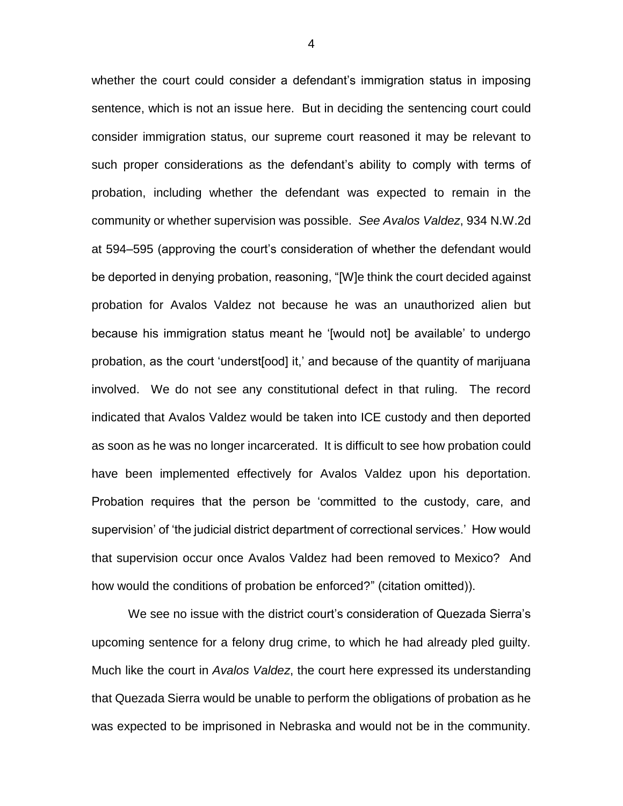whether the court could consider a defendant's immigration status in imposing sentence, which is not an issue here. But in deciding the sentencing court could consider immigration status, our supreme court reasoned it may be relevant to such proper considerations as the defendant's ability to comply with terms of probation, including whether the defendant was expected to remain in the community or whether supervision was possible. *See Avalos Valdez*, 934 N.W.2d at 594–595 (approving the court's consideration of whether the defendant would be deported in denying probation, reasoning, "[W]e think the court decided against probation for Avalos Valdez not because he was an unauthorized alien but because his immigration status meant he '[would not] be available' to undergo probation, as the court 'underst[ood] it,' and because of the quantity of marijuana involved. We do not see any constitutional defect in that ruling. The record indicated that Avalos Valdez would be taken into ICE custody and then deported as soon as he was no longer incarcerated. It is difficult to see how probation could have been implemented effectively for Avalos Valdez upon his deportation. Probation requires that the person be 'committed to the custody, care, and supervision' of 'the judicial district department of correctional services.' How would that supervision occur once Avalos Valdez had been removed to Mexico? And how would the conditions of probation be enforced?" (citation omitted)).

We see no issue with the district court's consideration of Quezada Sierra's upcoming sentence for a felony drug crime, to which he had already pled guilty. Much like the court in *Avalos Valdez*, the court here expressed its understanding that Quezada Sierra would be unable to perform the obligations of probation as he was expected to be imprisoned in Nebraska and would not be in the community.

4